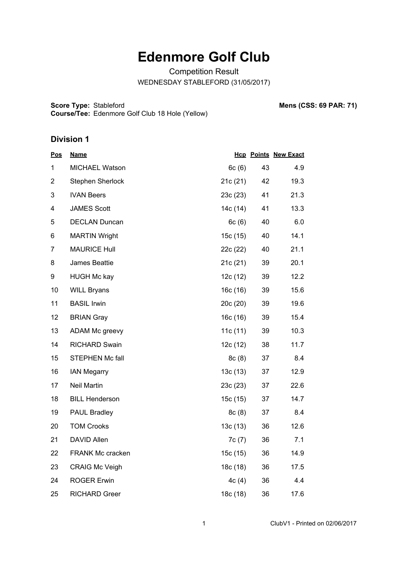# **Edenmore Golf Club**

Competition Result WEDNESDAY STABLEFORD (31/05/2017)

**Score Type: Course/Tee:** Edenmore Golf Club 18 Hole (Yellow) **Mens (CSS: 69 PAR: 71)** 

#### **Division 1**

| <u>Pos</u>     | <b>Name</b>             |          |    | <b>Hcp Points New Exact</b> |
|----------------|-------------------------|----------|----|-----------------------------|
| 1              | MICHAEL Watson          | 6c(6)    | 43 | 4.9                         |
| $\overline{2}$ | Stephen Sherlock        | 21c(21)  | 42 | 19.3                        |
| 3              | <b>IVAN Beers</b>       | 23c(23)  | 41 | 21.3                        |
| 4              | <b>JAMES Scott</b>      | 14c (14) | 41 | 13.3                        |
| 5              | <b>DECLAN Duncan</b>    | 6c(6)    | 40 | 6.0                         |
| 6              | <b>MARTIN Wright</b>    | 15c (15) | 40 | 14.1                        |
| $\overline{7}$ | <b>MAURICE Hull</b>     | 22c (22) | 40 | 21.1                        |
| 8              | James Beattie           | 21c(21)  | 39 | 20.1                        |
| 9              | <b>HUGH Mc kay</b>      | 12c(12)  | 39 | 12.2                        |
| 10             | <b>WILL Bryans</b>      | 16c(16)  | 39 | 15.6                        |
| 11             | <b>BASIL Irwin</b>      | 20c(20)  | 39 | 19.6                        |
| 12             | <b>BRIAN Gray</b>       | 16c(16)  | 39 | 15.4                        |
| 13             | ADAM Mc greevy          | 11c(11)  | 39 | 10.3                        |
| 14             | <b>RICHARD Swain</b>    | 12c(12)  | 38 | 11.7                        |
| 15             | <b>STEPHEN Mc fall</b>  | 8c(8)    | 37 | 8.4                         |
| 16             | <b>IAN Megarry</b>      | 13c(13)  | 37 | 12.9                        |
| 17             | <b>Neil Martin</b>      | 23c (23) | 37 | 22.6                        |
| 18             | <b>BILL Henderson</b>   | 15c(15)  | 37 | 14.7                        |
| 19             | <b>PAUL Bradley</b>     | 8c(8)    | 37 | 8.4                         |
| 20             | <b>TOM Crooks</b>       | 13c(13)  | 36 | 12.6                        |
| 21             | DAVID Allen             | 7c(7)    | 36 | 7.1                         |
| 22             | <b>FRANK Mc cracken</b> | 15c (15) | 36 | 14.9                        |
| 23             | <b>CRAIG Mc Veigh</b>   | 18c (18) | 36 | 17.5                        |
| 24             | <b>ROGER Erwin</b>      | 4c(4)    | 36 | 4.4                         |
| 25             | <b>RICHARD Greer</b>    | 18c (18) | 36 | 17.6                        |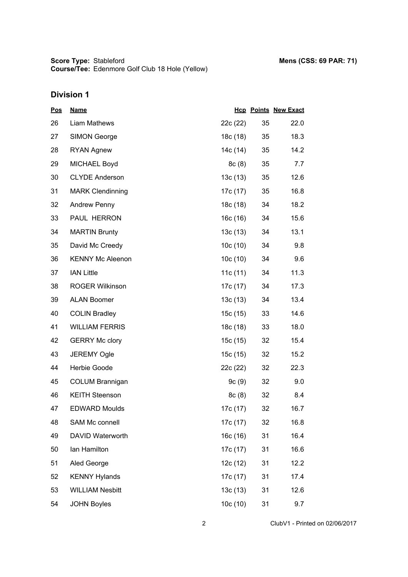## **Division 1**

| <u>Pos</u> | <b>Name</b>             |            |    | <b>Hcp Points New Exact</b> |
|------------|-------------------------|------------|----|-----------------------------|
| 26         | Liam Mathews            | 22c (22)   | 35 | 22.0                        |
| 27         | <b>SIMON George</b>     | 18c (18)   | 35 | 18.3                        |
| 28         | <b>RYAN Agnew</b>       | 14c (14)   | 35 | 14.2                        |
| 29         | <b>MICHAEL Boyd</b>     | 8c(8)      | 35 | 7.7                         |
| 30         | <b>CLYDE Anderson</b>   | 13c(13)    | 35 | 12.6                        |
| 31         | <b>MARK Clendinning</b> | 17c (17)   | 35 | 16.8                        |
| 32         | <b>Andrew Penny</b>     | 18c (18)   | 34 | 18.2                        |
| 33         | PAUL HERRON             | 16c (16)   | 34 | 15.6                        |
| 34         | <b>MARTIN Brunty</b>    | 13c(13)    | 34 | 13.1                        |
| 35         | David Mc Creedy         | 10c(10)    | 34 | 9.8                         |
| 36         | <b>KENNY Mc Aleenon</b> | 10c(10)    | 34 | 9.6                         |
| 37         | <b>IAN Little</b>       | 11c $(11)$ | 34 | 11.3                        |
| 38         | <b>ROGER Wilkinson</b>  | 17c (17)   | 34 | 17.3                        |
| 39         | <b>ALAN Boomer</b>      | 13c(13)    | 34 | 13.4                        |
| 40         | <b>COLIN Bradley</b>    | 15c (15)   | 33 | 14.6                        |
| 41         | <b>WILLIAM FERRIS</b>   | 18c (18)   | 33 | 18.0                        |
| 42         | <b>GERRY Mc clory</b>   | 15c (15)   | 32 | 15.4                        |
| 43         | <b>JEREMY Ogle</b>      | 15c (15)   | 32 | 15.2                        |
| 44         | Herbie Goode            | 22c (22)   | 32 | 22.3                        |
| 45         | <b>COLUM Brannigan</b>  | 9c(9)      | 32 | 9.0                         |
| 46         | <b>KEITH Steenson</b>   | 8c(8)      | 32 | 8.4                         |
| 47         | <b>EDWARD Moulds</b>    | 17c (17)   | 32 | 16.7                        |
| 48         | <b>SAM Mc connell</b>   | 17c (17)   | 32 | 16.8                        |
| 49         | DAVID Waterworth        | 16c(16)    | 31 | 16.4                        |
| 50         | lan Hamilton            | 17c (17)   | 31 | 16.6                        |
| 51         | Aled George             | 12c (12)   | 31 | 12.2                        |
| 52         | <b>KENNY Hylands</b>    | 17c (17)   | 31 | 17.4                        |
| 53         | <b>WILLIAM Nesbitt</b>  | 13c(13)    | 31 | 12.6                        |
| 54         | <b>JOHN Boyles</b>      | 10c(10)    | 31 | 9.7                         |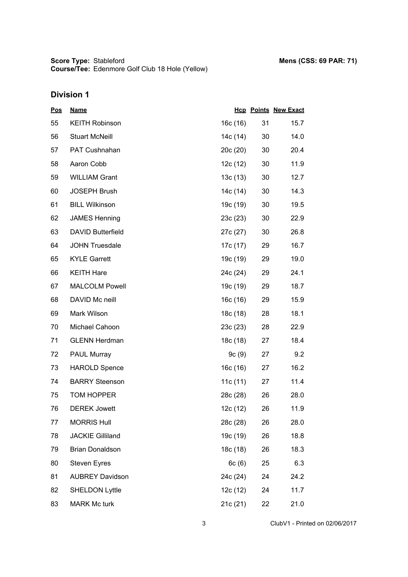## **Division 1**

| <u>Pos</u> | <b>Name</b>              |            |    | <b>Hcp Points New Exact</b> |
|------------|--------------------------|------------|----|-----------------------------|
| 55         | <b>KEITH Robinson</b>    | 16c(16)    | 31 | 15.7                        |
| 56         | <b>Stuart McNeill</b>    | 14c (14)   | 30 | 14.0                        |
| 57         | PAT Cushnahan            | 20c(20)    | 30 | 20.4                        |
| 58         | Aaron Cobb               | 12c(12)    | 30 | 11.9                        |
| 59         | <b>WILLIAM Grant</b>     | 13c(13)    | 30 | 12.7                        |
| 60         | <b>JOSEPH Brush</b>      | 14c (14)   | 30 | 14.3                        |
| 61         | <b>BILL Wilkinson</b>    | 19c (19)   | 30 | 19.5                        |
| 62         | <b>JAMES Henning</b>     | 23c(23)    | 30 | 22.9                        |
| 63         | <b>DAVID Butterfield</b> | 27c (27)   | 30 | 26.8                        |
| 64         | <b>JOHN Truesdale</b>    | 17c (17)   | 29 | 16.7                        |
| 65         | <b>KYLE Garrett</b>      | 19c (19)   | 29 | 19.0                        |
| 66         | <b>KEITH Hare</b>        | 24c (24)   | 29 | 24.1                        |
| 67         | <b>MALCOLM Powell</b>    | 19c (19)   | 29 | 18.7                        |
| 68         | DAVID Mc neill           | 16c (16)   | 29 | 15.9                        |
| 69         | Mark Wilson              | 18c (18)   | 28 | 18.1                        |
| 70         | Michael Cahoon           | 23c(23)    | 28 | 22.9                        |
| 71         | <b>GLENN Herdman</b>     | 18c (18)   | 27 | 18.4                        |
| 72         | <b>PAUL Murray</b>       | 9c(9)      | 27 | 9.2                         |
| 73         | <b>HAROLD Spence</b>     | 16c(16)    | 27 | 16.2                        |
| 74         | <b>BARRY Steenson</b>    | 11c $(11)$ | 27 | 11.4                        |
| 75         | <b>TOM HOPPER</b>        | 28c (28)   | 26 | 28.0                        |
| 76         | <b>DEREK Jowett</b>      | 12c(12)    | 26 | 11.9                        |
| 77         | <b>MORRIS Hull</b>       | 28c (28)   | 26 | 28.0                        |
| 78         | <b>JACKIE Gilliland</b>  | 19c (19)   | 26 | 18.8                        |
| 79         | <b>Brian Donaldson</b>   | 18c (18)   | 26 | 18.3                        |
| 80         | <b>Steven Eyres</b>      | 6c(6)      | 25 | 6.3                         |
| 81         | <b>AUBREY Davidson</b>   | 24c (24)   | 24 | 24.2                        |
| 82         | <b>SHELDON Lyttle</b>    | 12c(12)    | 24 | 11.7                        |
| 83         | <b>MARK Mc turk</b>      | 21c (21)   | 22 | 21.0                        |